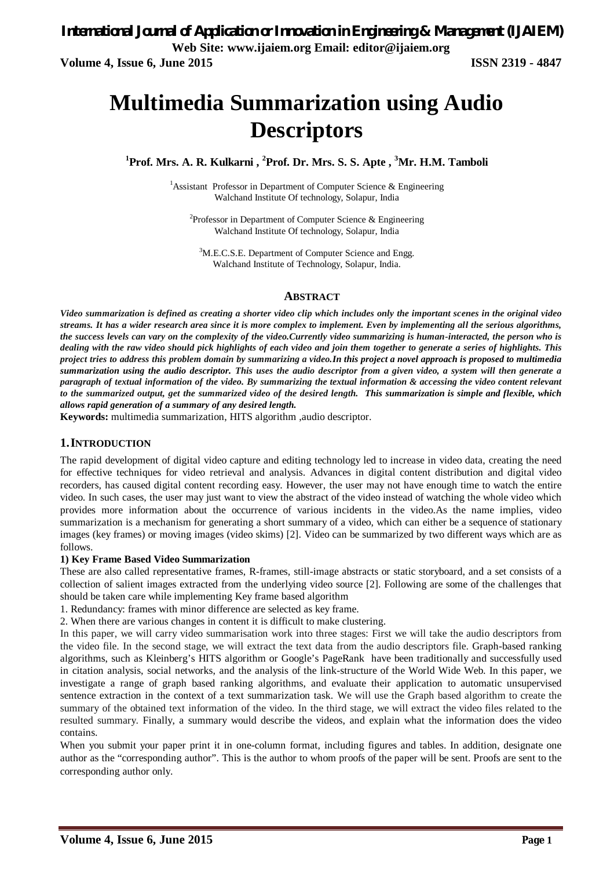# **Multimedia Summarization using Audio Descriptors**

**<sup>1</sup>Prof. Mrs. A. R. Kulkarni , <sup>2</sup>Prof. Dr. Mrs. S. S. Apte , <sup>3</sup>Mr. H.M. Tamboli**

<sup>1</sup>Assistant Professor in Department of Computer Science  $\&$  Engineering Walchand Institute Of technology, Solapur, India

<sup>2</sup>Professor in Department of Computer Science & Engineering Walchand Institute Of technology, Solapur, India

<sup>3</sup>M.E.C.S.E. Department of Computer Science and Engg. Walchand Institute of Technology, Solapur, India.

#### **ABSTRACT**

*Video summarization is defined as creating a shorter video clip which includes only the important scenes in the original video streams. It has a wider research area since it is more complex to implement. Even by implementing all the serious algorithms, the success levels can vary on the complexity of the video.Currently video summarizing is human-interacted, the person who is dealing with the raw video should pick highlights of each video and join them together to generate a series of highlights. This project tries to address this problem domain by summarizing a video.In this project a novel approach is proposed to multimedia summarization using the audio descriptor. This uses the audio descriptor from a given video, a system will then generate a paragraph of textual information of the video. By summarizing the textual information & accessing the video content relevant to the summarized output, get the summarized video of the desired length. This summarization is simple and flexible, which allows rapid generation of a summary of any desired length.*

**Keywords:** multimedia summarization, HITS algorithm ,audio descriptor.

### **1.INTRODUCTION**

The rapid development of digital video capture and editing technology led to increase in video data, creating the need for effective techniques for video retrieval and analysis. Advances in digital content distribution and digital video recorders, has caused digital content recording easy. However, the user may not have enough time to watch the entire video. In such cases, the user may just want to view the abstract of the video instead of watching the whole video which provides more information about the occurrence of various incidents in the video.As the name implies, video summarization is a mechanism for generating a short summary of a video, which can either be a sequence of stationary images (key frames) or moving images (video skims) [2]. Video can be summarized by two different ways which are as follows.

#### **1) Key Frame Based Video Summarization**

These are also called representative frames, R-frames, still-image abstracts or static storyboard, and a set consists of a collection of salient images extracted from the underlying video source [2]. Following are some of the challenges that should be taken care while implementing Key frame based algorithm

1. Redundancy: frames with minor difference are selected as key frame.

2. When there are various changes in content it is difficult to make clustering.

In this paper, we will carry video summarisation work into three stages: First we will take the audio descriptors from the video file. In the second stage, we will extract the text data from the audio descriptors file. Graph-based ranking algorithms, such as Kleinberg's HITS algorithm or Google's PageRank have been traditionally and successfully used in citation analysis, social networks, and the analysis of the link-structure of the World Wide Web. In this paper, we investigate a range of graph based ranking algorithms, and evaluate their application to automatic unsupervised sentence extraction in the context of a text summarization task. We will use the Graph based algorithm to create the summary of the obtained text information of the video. In the third stage, we will extract the video files related to the resulted summary. Finally, a summary would describe the videos, and explain what the information does the video contains.

When you submit your paper print it in one-column format, including figures and tables. In addition, designate one author as the "corresponding author". This is the author to whom proofs of the paper will be sent. Proofs are sent to the corresponding author only.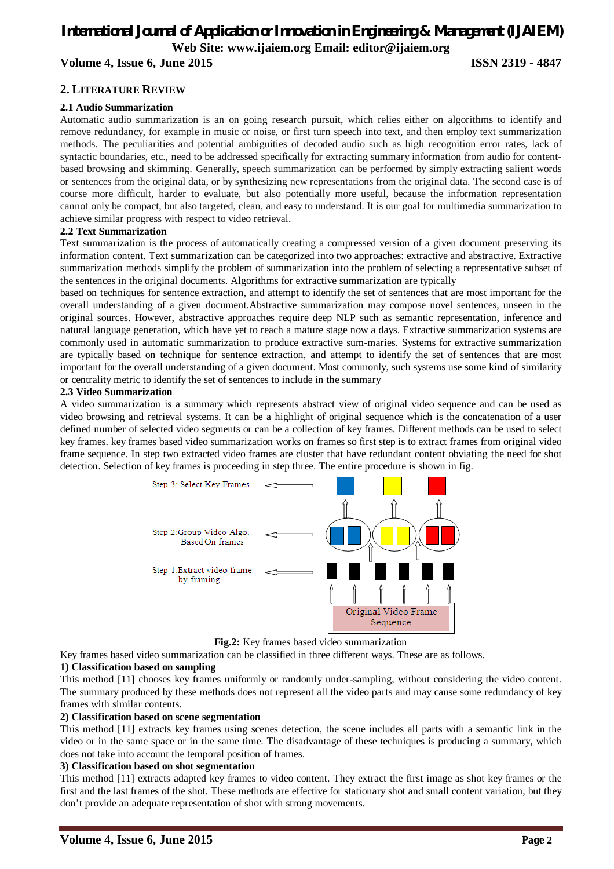# *International Journal of Application or Innovation in Engineering & Management (IJAIEM)* **Web Site: www.ijaiem.org Email: editor@ijaiem.org Volume 4, Issue 6, June 2015 ISSN 2319 - 4847**

## **2. LITERATURE REVIEW**

#### **2.1 Audio Summarization**

Automatic audio summarization is an on going research pursuit, which relies either on algorithms to identify and remove redundancy, for example in music or noise, or first turn speech into text, and then employ text summarization methods. The peculiarities and potential ambiguities of decoded audio such as high recognition error rates, lack of syntactic boundaries, etc., need to be addressed specifically for extracting summary information from audio for contentbased browsing and skimming. Generally, speech summarization can be performed by simply extracting salient words or sentences from the original data, or by synthesizing new representations from the original data. The second case is of course more difficult, harder to evaluate, but also potentially more useful, because the information representation cannot only be compact, but also targeted, clean, and easy to understand. It is our goal for multimedia summarization to achieve similar progress with respect to video retrieval.

#### **2.2 Text Summarization**

Text summarization is the process of automatically creating a compressed version of a given document preserving its information content. Text summarization can be categorized into two approaches: extractive and abstractive. Extractive summarization methods simplify the problem of summarization into the problem of selecting a representative subset of the sentences in the original documents. Algorithms for extractive summarization are typically

based on techniques for sentence extraction, and attempt to identify the set of sentences that are most important for the overall understanding of a given document.Abstractive summarization may compose novel sentences, unseen in the original sources. However, abstractive approaches require deep NLP such as semantic representation, inference and natural language generation, which have yet to reach a mature stage now a days. Extractive summarization systems are commonly used in automatic summarization to produce extractive sum-maries. Systems for extractive summarization are typically based on technique for sentence extraction, and attempt to identify the set of sentences that are most important for the overall understanding of a given document. Most commonly, such systems use some kind of similarity or centrality metric to identify the set of sentences to include in the summary

#### **2.3 Video Summarization**

A video summarization is a summary which represents abstract view of original video sequence and can be used as video browsing and retrieval systems. It can be a highlight of original sequence which is the concatenation of a user defined number of selected video segments or can be a collection of key frames. Different methods can be used to select key frames. key frames based video summarization works on frames so first step is to extract frames from original video frame sequence. In step two extracted video frames are cluster that have redundant content obviating the need for shot detection. Selection of key frames is proceeding in step three. The entire procedure is shown in fig.



**Fig.2:** Key frames based video summarization

Key frames based video summarization can be classified in three different ways. These are as follows.

#### **1) Classification based on sampling**

This method [11] chooses key frames uniformly or randomly under-sampling, without considering the video content. The summary produced by these methods does not represent all the video parts and may cause some redundancy of key frames with similar contents.

#### **2) Classification based on scene segmentation**

This method [11] extracts key frames using scenes detection, the scene includes all parts with a semantic link in the video or in the same space or in the same time. The disadvantage of these techniques is producing a summary, which does not take into account the temporal position of frames.

#### **3) Classification based on shot segmentation**

This method [11] extracts adapted key frames to video content. They extract the first image as shot key frames or the first and the last frames of the shot. These methods are effective for stationary shot and small content variation, but they don't provide an adequate representation of shot with strong movements.